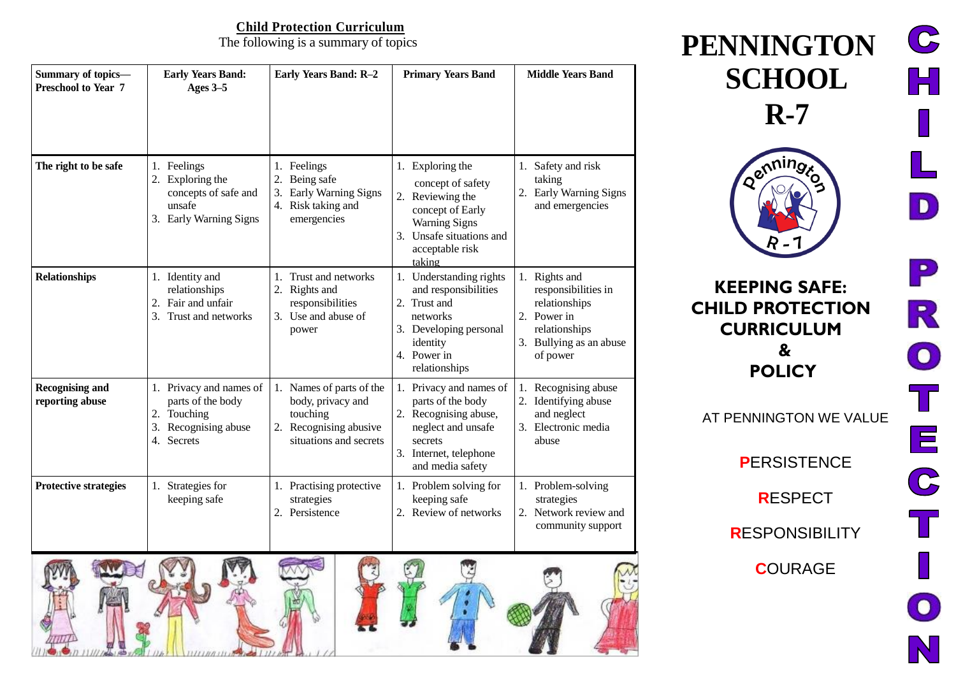# **Child Protection Curriculum**<br>The following is a summary of topics

| Summary of topics-<br>Preschool to Year 7 | <b>Early Years Band:</b><br>Ages 3-5                                                                 | Early Years Band: R-2                                                                                            | <b>Primary Years Band</b>                                                                                                                                      | <b>Middle Years Band</b>                                                                                                     |
|-------------------------------------------|------------------------------------------------------------------------------------------------------|------------------------------------------------------------------------------------------------------------------|----------------------------------------------------------------------------------------------------------------------------------------------------------------|------------------------------------------------------------------------------------------------------------------------------|
| The right to be safe                      | 1. Feelings<br>Exploring the<br>concepts of safe and<br>unsafe<br>3. Early Warning Signs             | 1. Feelings<br>2. Being safe<br>Early Warning Signs<br>3.<br>4. Risk taking and<br>emergencies                   | 1. Exploring the<br>concept of safety<br>2. Reviewing the<br>concept of Early<br><b>Warning Signs</b><br>3. Unsafe situations and<br>acceptable risk<br>taking | 1. Safety and risk<br>taking<br>Early Warning Signs<br>2.<br>and emergencies                                                 |
| <b>Relationships</b>                      | 1. Identity and<br>relationships<br>Fair and unfair<br>2.<br>Trust and networks                      | 1. Trust and networks<br>Rights and<br>2.<br>responsibilities<br>3. Use and abuse of<br>power                    | 1. Understanding rights<br>and responsibilities<br>2. Trust and<br>networks<br>3. Developing personal<br>identity<br>4. Power in<br>relationships              | 1. Rights and<br>responsibilities in<br>relationships<br>2. Power in<br>relationships<br>3. Bullying as an abuse<br>of power |
| <b>Recognising and</b><br>reporting abuse | 1. Privacy and names of<br>parts of the body<br>2. Touching<br>Recognising abuse<br>3.<br>4. Secrets | 1. Names of parts of the<br>body, privacy and<br>touching<br>2.<br>Recognising abusive<br>situations and secrets | 1. Privacy and names of<br>parts of the body<br>2. Recognising abuse,<br>neglect and unsafe<br>secrets<br>3. Internet, telephone<br>and media safety           | Recognising abuse<br>2.<br>Identifying abuse<br>and neglect<br>3. Electronic media<br>abuse                                  |
| <b>Protective strategies</b>              | 1. Strategies for<br>keeping safe                                                                    | 1. Practising protective<br>strategies<br>2. Persistence                                                         | 1. Problem solving for<br>keeping safe<br>2. Review of networks                                                                                                | 1. Problem-solving<br>strategies<br>2. Network review and<br>community support                                               |
|                                           |                                                                                                      |                                                                                                                  |                                                                                                                                                                |                                                                                                                              |

 $\mathbf{C}$  $PENNINGTON$  $\mathbb H$ **SCHOOL R-7** enninge D  $\mathbf{P}$ **KEEPING SAFE:** R **CHILD PROTECTION CURRICULUM &**  $\bigcirc$ **POLICY** AT PENNINGTON WE VALUE  $\bm{\Xi}$ **P**ERSISTENCE  $\mathbf{C}$ **R**ESPECT **R**ESPONSIBILITY **C**OURAGE  $\left( 0\right)$